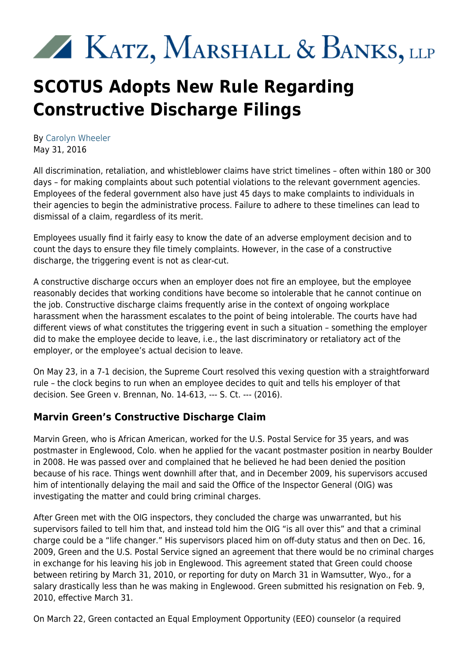# KATZ, MARSHALL & BANKS, LLP

## **SCOTUS Adopts New Rule Regarding Constructive Discharge Filings**

By [Carolyn Wheeler](https://www.kmblegal.com/attorneys-and-staff/carolyn-wheeler) May 31, 2016

All discrimination, retaliation, and whistleblower claims have strict timelines – often within 180 or 300 days – for making complaints about such potential violations to the relevant government agencies. Employees of the federal government also have just 45 days to make complaints to individuals in their agencies to begin the administrative process. Failure to adhere to these timelines can lead to dismissal of a claim, regardless of its merit.

Employees usually find it fairly easy to know the date of an adverse employment decision and to count the days to ensure they file timely complaints. However, in the case of a constructive discharge, the triggering event is not as clear-cut.

A constructive discharge occurs when an employer does not fire an employee, but the employee reasonably decides that working conditions have become so intolerable that he cannot continue on the job. Constructive discharge claims frequently arise in the context of ongoing workplace harassment when the harassment escalates to the point of being intolerable. The courts have had different views of what constitutes the triggering event in such a situation – something the employer did to make the employee decide to leave, i.e., the last discriminatory or retaliatory act of the employer, or the employee's actual decision to leave.

On May 23, in a 7-1 decision, the Supreme Court resolved this vexing question with a straightforward rule – the clock begins to run when an employee decides to quit and tells his employer of that decision. See Green v. Brennan, No. 14-613, --- S. Ct. --- (2016).

#### **Marvin Green's Constructive Discharge Claim**

Marvin Green, who is African American, worked for the U.S. Postal Service for 35 years, and was postmaster in Englewood, Colo. when he applied for the vacant postmaster position in nearby Boulder in 2008. He was passed over and complained that he believed he had been denied the position because of his race. Things went downhill after that, and in December 2009, his supervisors accused him of intentionally delaying the mail and said the Office of the Inspector General (OIG) was investigating the matter and could bring criminal charges.

After Green met with the OIG inspectors, they concluded the charge was unwarranted, but his supervisors failed to tell him that, and instead told him the OIG "is all over this" and that a criminal charge could be a "life changer." His supervisors placed him on off-duty status and then on Dec. 16, 2009, Green and the U.S. Postal Service signed an agreement that there would be no criminal charges in exchange for his leaving his job in Englewood. This agreement stated that Green could choose between retiring by March 31, 2010, or reporting for duty on March 31 in Wamsutter, Wyo., for a salary drastically less than he was making in Englewood. Green submitted his resignation on Feb. 9, 2010, effective March 31.

On March 22, Green contacted an Equal Employment Opportunity (EEO) counselor (a required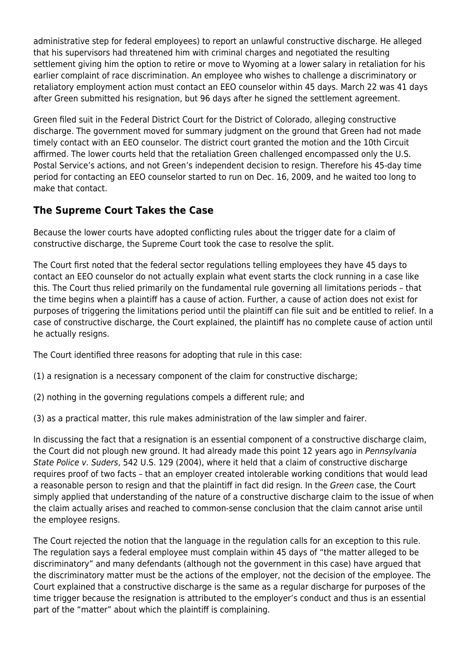administrative step for federal employees) to report an unlawful constructive discharge. He alleged that his supervisors had threatened him with criminal charges and negotiated the resulting settlement giving him the option to retire or move to Wyoming at a lower salary in retaliation for his earlier complaint of race discrimination. An employee who wishes to challenge a discriminatory or retaliatory employment action must contact an EEO counselor within 45 days. March 22 was 41 days after Green submitted his resignation, but 96 days after he signed the settlement agreement.

Green filed suit in the Federal District Court for the District of Colorado, alleging constructive discharge. The government moved for summary judgment on the ground that Green had not made timely contact with an EEO counselor. The district court granted the motion and the 10th Circuit affirmed. The lower courts held that the retaliation Green challenged encompassed only the U.S. Postal Service's actions, and not Green's independent decision to resign. Therefore his 45-day time period for contacting an EEO counselor started to run on Dec. 16, 2009, and he waited too long to make that contact.

#### **The Supreme Court Takes the Case**

Because the lower courts have adopted conflicting rules about the trigger date for a claim of constructive discharge, the Supreme Court took the case to resolve the split.

The Court first noted that the federal sector regulations telling employees they have 45 days to contact an EEO counselor do not actually explain what event starts the clock running in a case like this. The Court thus relied primarily on the fundamental rule governing all limitations periods – that the time begins when a plaintiff has a cause of action. Further, a cause of action does not exist for purposes of triggering the limitations period until the plaintiff can file suit and be entitled to relief. In a case of constructive discharge, the Court explained, the plaintiff has no complete cause of action until he actually resigns.

The Court identified three reasons for adopting that rule in this case:

- (1) a resignation is a necessary component of the claim for constructive discharge;
- (2) nothing in the governing regulations compels a different rule; and
- (3) as a practical matter, this rule makes administration of the law simpler and fairer.

In discussing the fact that a resignation is an essential component of a constructive discharge claim, the Court did not plough new ground. It had already made this point 12 years ago in Pennsylvania State Police v. Suders, 542 U.S. 129 (2004), where it held that a claim of constructive discharge requires proof of two facts – that an employer created intolerable working conditions that would lead a reasonable person to resign and that the plaintiff in fact did resign. In the Green case, the Court simply applied that understanding of the nature of a constructive discharge claim to the issue of when the claim actually arises and reached to common-sense conclusion that the claim cannot arise until the employee resigns.

The Court rejected the notion that the language in the regulation calls for an exception to this rule. The regulation says a federal employee must complain within 45 days of "the matter alleged to be discriminatory" and many defendants (although not the government in this case) have argued that the discriminatory matter must be the actions of the employer, not the decision of the employee. The Court explained that a constructive discharge is the same as a regular discharge for purposes of the time trigger because the resignation is attributed to the employer's conduct and thus is an essential part of the "matter" about which the plaintiff is complaining.